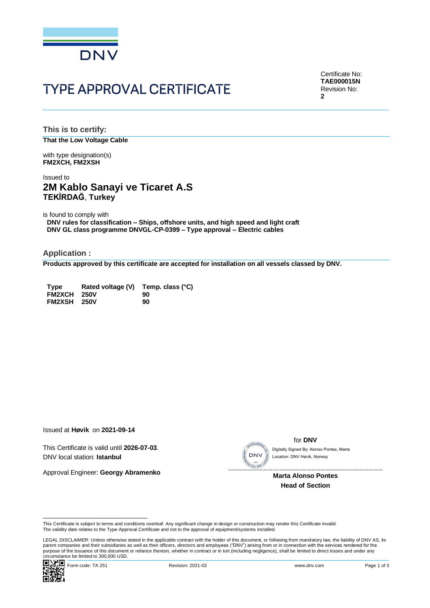

# **TYPE APPROVAL CERTIFICATE**

Certificate No: **TAE000015N** Revision No: **2**

**This is to certify: That the Low Voltage Cable**

with type designation(s) **FM2XCH, FM2XSH**

### Issued to **2M Kablo Sanayi ve Ticaret A.S TEKİRDAĞ**, **Turkey**

is found to comply with

**DNV rules for classification – Ships, offshore units, and high speed and light craft DNV GL class programme DNVGL-CP-0399 – Type approval – Electric cables**

**Application :**

**Products approved by this certificate are accepted for installation on all vessels classed by DNV.**

| <b>Type</b> | Rated voltage (V) Temp. class (°C) |    |
|-------------|------------------------------------|----|
| FM2XCH 250V |                                    | 90 |
| FM2XSH 250V |                                    | 90 |

Issued at **Høvik** on **2021-09-14**

This Certificate is valid until **2026-07-03**. DNV local station: **Istanbul**

Approval Engineer: **Georgy Abramenko**



for **DNV**

Location: DNV Høvik, Norway

 **Marta Alonso Pontes Head of Section**

LEGAL DISCLAIMER: Unless otherwise stated in the applicable contract with the holder of this document, or following from mandatory law, the liability of DNV AS, its parent companies and their subsidiaries as well as their officers, directors and employees ("DNV") arising from or in connection with the services rendered for the purpose of the issuance of this document or reliance thereon, whether in contract or in tort (including negligence), shall be limited to direct losses and under any purpose of the issuance of this document or reliance ther This Certificate is valid utilit 2020-07-03.<br>
Approval Engineer: Georgy Abramenko<br>
Approval Engineer: Georgy Abramenko<br>
Marta Alonso Pontes<br>
Marta Alonso Pontes<br>
Head of Section<br>
This Certificate is subject to terms and co



This Certificate is subject to terms and conditions overleaf. Any significant change in design or construction may render this Certificate invalid.<br>The validity date relates to the Type Approval Certificate and not to the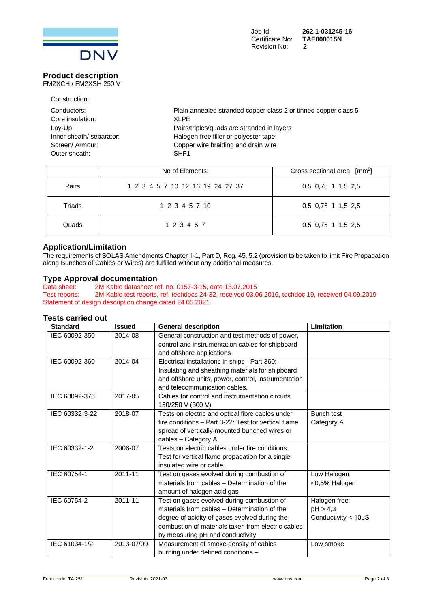

### **Product description**

FM2XCH / FM2XSH 250 V

| Construction:            |                                                                 |
|--------------------------|-----------------------------------------------------------------|
| Conductors:              | Plain annealed stranded copper class 2 or tinned copper class 5 |
| Core insulation:         | XLPF                                                            |
| Lay-Up                   | Pairs/triples/quads are stranded in layers                      |
| Inner sheath/ separator: | Halogen free filler or polyester tape                           |
| Screen/ Armour:          | Copper wire braiding and drain wire                             |
| Outer sheath:            | SHF <sub>1</sub>                                                |
|                          |                                                                 |

|        | No of Elements:                  | Cross sectional area $\lceil mm^2 \rceil$ |
|--------|----------------------------------|-------------------------------------------|
| Pairs  | 1 2 3 4 5 7 10 12 16 19 24 27 37 | 0.5 0.75 1 1.5 2.5                        |
| Triads | 1 2 3 4 5 7 10                   | 0.5 0.75 1 1.5 2.5                        |
| Quads  | 1 2 3 4 5 7                      | $0,5$ 0,75 1 1,5 2,5                      |

### **Application/Limitation**

The requirements of SOLAS Amendments Chapter II-1, Part D, Reg. 45, 5.2 (provision to be taken to limit Fire Propagation along Bunches of Cables or Wires) are fulfilled without any additional measures.

## **Type Approval documentation**<br>Data sheet: 2M Kablo datasheet re

2M Kablo datasheet ref. no. 0157-3-15, date 13.07.2015 Test reports: 2M Kablo test reports, ref. techdocs 24-32, received 03.06.2016, techdoc 19, received 04.09.2019 Statement of design description change dated 24.05.2021

### **Tests carried out**

| <b>Standard</b> | <b>Issued</b> | <b>General description</b>                           | Limitation                  |
|-----------------|---------------|------------------------------------------------------|-----------------------------|
| IEC 60092-350   | 2014-08       | General construction and test methods of power,      |                             |
|                 |               | control and instrumentation cables for shipboard     |                             |
|                 |               | and offshore applications                            |                             |
| IEC 60092-360   | 2014-04       | Electrical installations in ships - Part 360:        |                             |
|                 |               | Insulating and sheathing materials for shipboard     |                             |
|                 |               | and offshore units, power, control, instrumentation  |                             |
|                 |               | and telecommunication cables.                        |                             |
| IEC 60092-376   | 2017-05       | Cables for control and instrumentation circuits      |                             |
|                 |               | 150/250 V (300 V)                                    |                             |
| IEC 60332-3-22  | 2018-07       | Tests on electric and optical fibre cables under     | <b>Bunch test</b>           |
|                 |               | fire conditions - Part 3-22: Test for vertical flame | Category A                  |
|                 |               | spread of vertically-mounted bunched wires or        |                             |
|                 |               | cables - Category A                                  |                             |
| IEC 60332-1-2   | 2006-07       | Tests on electric cables under fire conditions.      |                             |
|                 |               | Test for vertical flame propagation for a single     |                             |
|                 |               | insulated wire or cable.                             |                             |
| IEC 60754-1     | 2011-11       | Test on gases evolved during combustion of           | Low Halogen:                |
|                 |               | materials from cables - Determination of the         | <0,5% Halogen               |
|                 |               | amount of halogen acid gas                           |                             |
| IEC 60754-2     | $2011 - 11$   | Test on gases evolved during combustion of           | Halogen free:               |
|                 |               | materials from cables - Determination of the         | pH > 4,3                    |
|                 |               | degree of acidity of gases evolved during the        | Conductivity $<$ 10 $\mu$ S |
|                 |               | combustion of materials taken from electric cables   |                             |
|                 |               | by measuring pH and conductivity                     |                             |
| IEC 61034-1/2   | 2013-07/09    | Measurement of smoke density of cables               | Low smoke                   |
|                 |               | burning under defined conditions -                   |                             |